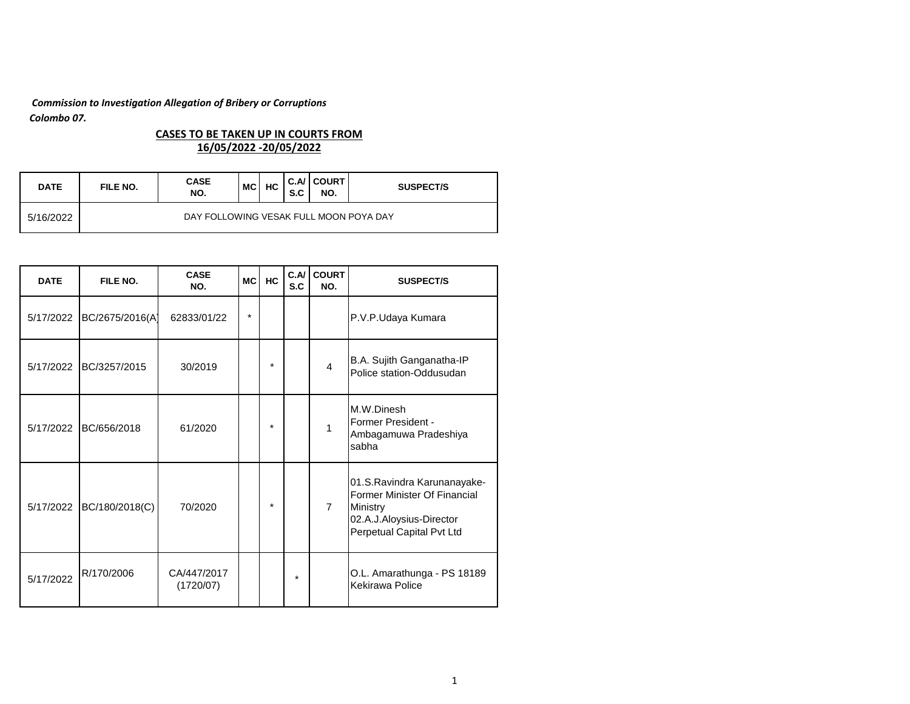## *Commission to Investigation Allegation of Bribery or Corruptions Colombo 07.*

## **CASES TO BE TAKEN UP IN COURTS FROM 16/05/2022 -20/05/2022**

| <b>DATE</b> | FILE NO.                               | <b>CASE</b><br>NO. | <b>MCI</b> | HC | S.C | <b>C.A/ COURT I</b><br>NO. | <b>SUSPECT/S</b> |  |
|-------------|----------------------------------------|--------------------|------------|----|-----|----------------------------|------------------|--|
| 5/16/2022   | DAY FOLLOWING VESAK FULL MOON POYA DAY |                    |            |    |     |                            |                  |  |

| <b>DATE</b> | FILE NO.        | <b>CASE</b><br>NO.       | <b>MC</b> | HC      | C.A<br>S.C | <b>COURT</b><br>NO. | <b>SUSPECT/S</b>                                                                                                                 |
|-------------|-----------------|--------------------------|-----------|---------|------------|---------------------|----------------------------------------------------------------------------------------------------------------------------------|
| 5/17/2022   | BC/2675/2016(A) | 62833/01/22              | $\star$   |         |            |                     | P.V.P.Udaya Kumara                                                                                                               |
| 5/17/2022   | BC/3257/2015    | 30/2019                  |           | $\star$ |            | $\overline{4}$      | B.A. Sujith Ganganatha-IP<br>Police station-Oddusudan                                                                            |
| 5/17/2022   | BC/656/2018     | 61/2020                  |           | $\star$ |            | 1                   | M.W.Dinesh<br>Former President -<br>Ambagamuwa Pradeshiya<br>sabha                                                               |
| 5/17/2022   | BC/180/2018(C)  | 70/2020                  |           | $\star$ |            | $\overline{7}$      | 01.S.Ravindra Karunanayake-<br>Former Minister Of Financial<br>Ministry<br>02.A.J.Aloysius-Director<br>Perpetual Capital Pvt Ltd |
| 5/17/2022   | R/170/2006      | CA/447/2017<br>(1720/07) |           |         | $\star$    |                     | O.L. Amarathunga - PS 18189<br>Kekirawa Police                                                                                   |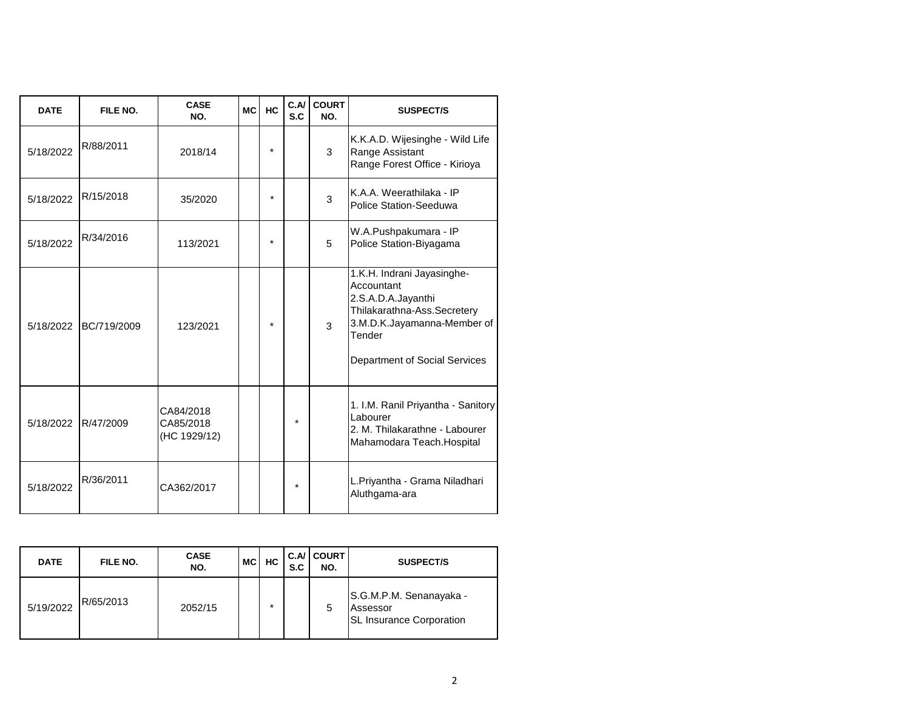| <b>DATE</b> | FILE NO.    | <b>CASE</b><br>NO.                     | <b>MC</b> | HC      | C.M<br>S.C | <b>COURT</b><br>NO. | <b>SUSPECT/S</b>                                                                                                                                                        |
|-------------|-------------|----------------------------------------|-----------|---------|------------|---------------------|-------------------------------------------------------------------------------------------------------------------------------------------------------------------------|
| 5/18/2022   | R/88/2011   | 2018/14                                |           | $\star$ |            | 3                   | K.K.A.D. Wijesinghe - Wild Life<br>Range Assistant<br>Range Forest Office - Kirioya                                                                                     |
| 5/18/2022   | R/15/2018   | 35/2020                                |           | $\star$ |            | 3                   | K.A.A. Weerathilaka - IP<br>Police Station-Seeduwa                                                                                                                      |
| 5/18/2022   | R/34/2016   | 113/2021                               |           | $\star$ |            | 5                   | W.A.Pushpakumara - IP<br>Police Station-Biyagama                                                                                                                        |
| 5/18/2022   | BC/719/2009 | 123/2021                               |           | $\star$ |            | 3                   | 1.K.H. Indrani Jayasinghe-<br>Accountant<br>2.S.A.D.A.Jayanthi<br>Thilakarathna-Ass.Secretery<br>3.M.D.K.Jayamanna-Member of<br>Tender<br>Department of Social Services |
| 5/18/2022   | R/47/2009   | CA84/2018<br>CA85/2018<br>(HC 1929/12) |           |         | $\star$    |                     | 1. I.M. Ranil Priyantha - Sanitory<br>Labourer<br>2. M. Thilakarathne - Labourer<br>Mahamodara Teach. Hospital                                                          |
| 5/18/2022   | R/36/2011   | CA362/2017                             |           |         | $\star$    |                     | L.Priyantha - Grama Niladhari<br>Aluthgama-ara                                                                                                                          |

| <b>DATE</b> | FILE NO.  | <b>CASE</b><br>NO. | <b>MC</b> | HC | S.C | <b>C.A/ COURT</b><br>NO. | SUSPECT/S                                                              |
|-------------|-----------|--------------------|-----------|----|-----|--------------------------|------------------------------------------------------------------------|
| 5/19/2022   | R/65/2013 | 2052/15            |           | ÷  |     | 5                        | S.G.M.P.M. Senanayaka -<br>Assessor<br><b>SL Insurance Corporation</b> |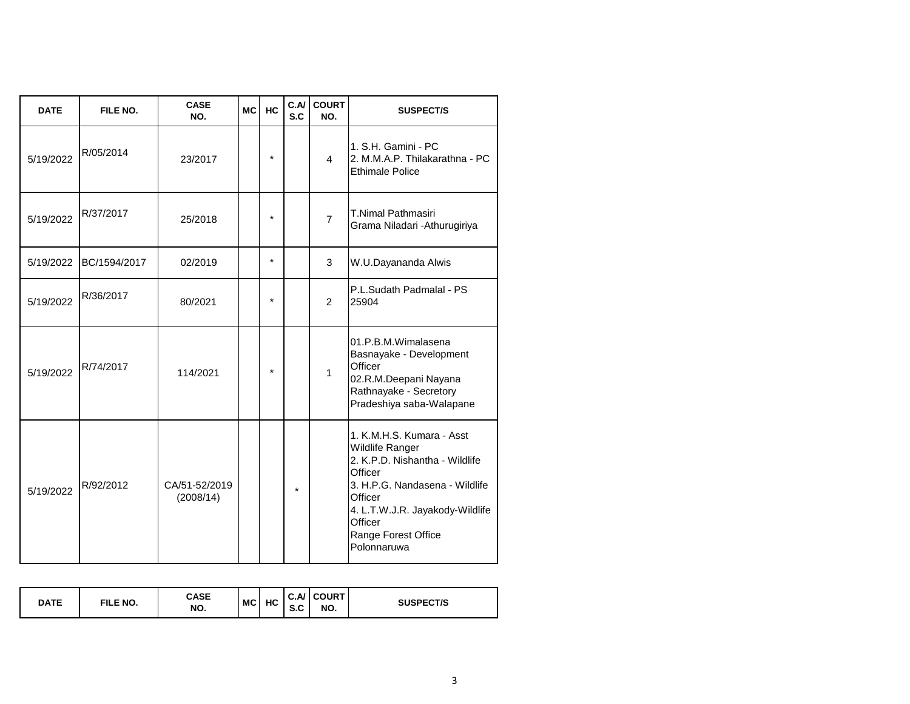| <b>DATE</b> | FILE NO.     | <b>CASE</b><br>NO.         | <b>MC</b> | HC      | C.A/<br>S.C | <b>COURT</b><br>NO. | <b>SUSPECT/S</b>                                                                                                                                                                                                                  |
|-------------|--------------|----------------------------|-----------|---------|-------------|---------------------|-----------------------------------------------------------------------------------------------------------------------------------------------------------------------------------------------------------------------------------|
| 5/19/2022   | R/05/2014    | 23/2017                    |           | $\star$ |             | $\overline{4}$      | 1. S.H. Gamini - PC<br>2. M.M.A.P. Thilakarathna - PC<br><b>Ethimale Police</b>                                                                                                                                                   |
| 5/19/2022   | R/37/2017    | 25/2018                    |           | $\star$ |             | $\overline{7}$      | <b>T.Nimal Pathmasiri</b><br>Grama Niladari - Athurugiriya                                                                                                                                                                        |
| 5/19/2022   | BC/1594/2017 | 02/2019                    |           | $\star$ |             | 3                   | W.U.Dayananda Alwis                                                                                                                                                                                                               |
| 5/19/2022   | R/36/2017    | 80/2021                    |           | $\star$ |             | 2                   | P.L.Sudath Padmalal - PS<br>25904                                                                                                                                                                                                 |
| 5/19/2022   | R/74/2017    | 114/2021                   |           | $\star$ |             | 1                   | 01.P.B.M.Wimalasena<br>Basnayake - Development<br>Officer<br>02.R.M.Deepani Nayana<br>Rathnayake - Secretory<br>Pradeshiya saba-Walapane                                                                                          |
| 5/19/2022   | R/92/2012    | CA/51-52/2019<br>(2008/14) |           |         | $\star$     |                     | 1. K.M.H.S. Kumara - Asst<br><b>Wildlife Ranger</b><br>2. K.P.D. Nishantha - Wildlife<br>Officer<br>3. H.P.G. Nandasena - Wildlife<br>Officer<br>4. L.T.W.J.R. Jayakody-Wildlife<br>Officer<br>Range Forest Office<br>Polonnaruwa |

| <b>DATE</b><br>FILE NO. | <b>CASE</b><br>NO. | МC | НC | ن.A/<br>◠<br>-<br> | <b>COURT</b><br>NO. | <b>SUSPECT/S</b> |
|-------------------------|--------------------|----|----|--------------------|---------------------|------------------|
|-------------------------|--------------------|----|----|--------------------|---------------------|------------------|